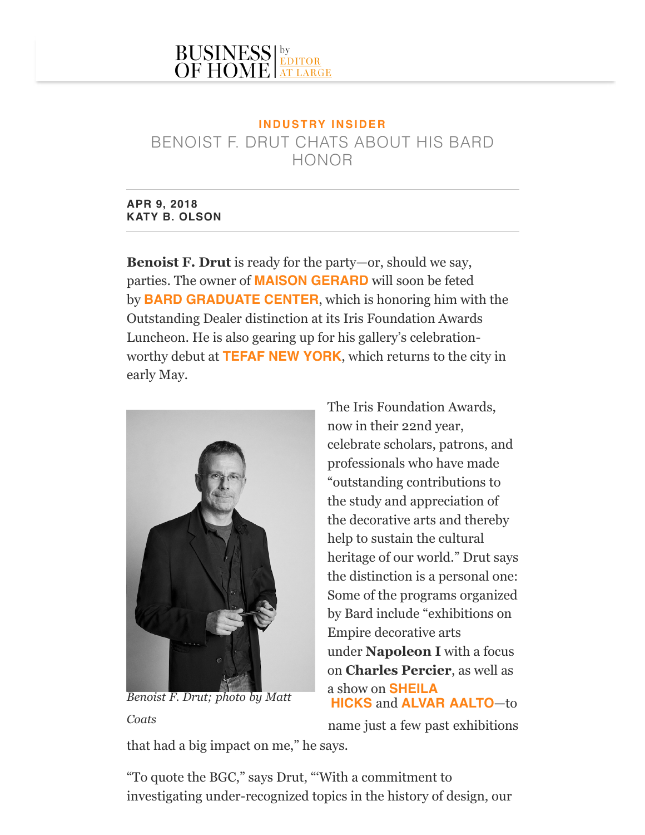## **I N D U S T RY I N S I D E R** BENOIST F. DRUT CHATS ABOUT HIS BARD HONOR

**APR 9, 2018 KATY B. OLSON**

**Benoist F. Drut** is ready for the party—or, should we say, parties. The owner of **[MAISON GERARD](https://editoratlarge.com/articles/first-ever-solo-exhibition-of-achille-salvagni-opens-at-maison-gerard)** will soon be feted by **[BARD GRADUATE CENTER](https://editoratlarge.com/articles/supernatural-fabrics-are-the-focus-of-bard-exhibit)**, which is honoring him with the Outstanding Dealer distinction at its Iris Foundation Awards Luncheon. He is also gearing up for his gallery's celebrationworthy debut at **[TEFAF NEW YORK](http://editoratlarge.com/events/tefaf-new-york)**, which returns to the city in early May.



The Iris Foundation Awards, now in their 22nd year, celebrate scholars, patrons, and professionals who have made "outstanding contributions to the study and appreciation of the decorative arts and thereby help to sustain the cultural heritage of our world." Drut says the distinction is a personal one: Some of the programs organized by Bard include "exhibitions on Empire decorative arts under **Napoleon I** with a focus on **Charles Percier**, as well as [a show on](https://editoratlarge.com/articles/sheila-hicks-retrospective-unfolds-at-textielmuseum) **SHEILA** *Benoist F. Drut; photo by Matt* **HICKS** and **[ALVAR AALTO](https://editoratlarge.com/articles/christiane-lemieux-on-where-the-modern-interior-began)**—to

*Coats* name just a few past exhibitions

that had a big impact on me," he says.

"To quote the BGC," says Drut, "'With a commitment to investigating under-recognized topics in the history of design, our